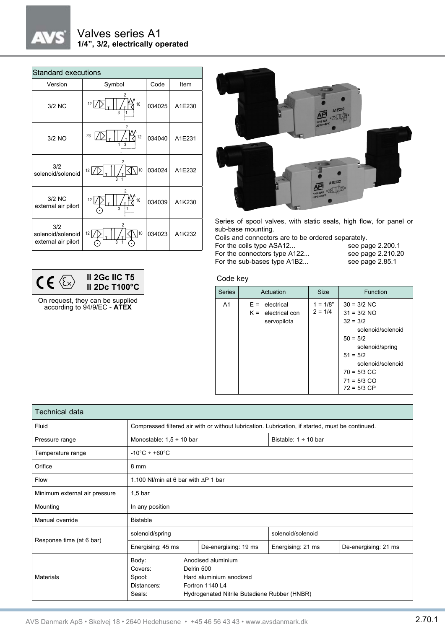## $_{\star}$

### Valves series A1 **1/4", 3/2, electrically operated**

| <b>Standard executions</b>                      |                                                       |        |        |  |  |
|-------------------------------------------------|-------------------------------------------------------|--------|--------|--|--|
| Version                                         | Symbol                                                | Code   | Item   |  |  |
| 3/2 NC                                          | $\overline{c}$<br>12 <sub>12</sub><br>10<br>3         | 034025 | A1E230 |  |  |
| 3/2 NO                                          | 2<br>23<br>12<br>$\overline{\mathbf{a}}$              | 034040 | A1E231 |  |  |
| 3/2<br>solenoid/solenoid                        | 2<br>10<br>12                                         | 034024 | A1E232 |  |  |
| 3/2 NC<br>external air pilort                   | $\overline{c}$<br>10<br>12<br>$\overline{\mathbf{3}}$ | 034039 | A1K230 |  |  |
| 3/2<br>solenoid/solenoid<br>external air pilort | $\overline{c}$<br>10<br>12                            | 034023 | A1K232 |  |  |

|  | <b>II 2Gc IIC T5</b><br>II 2Dc T100°C |
|--|---------------------------------------|
|  |                                       |

On request, they can be supplied according to 94/9/EC - **ATEX**



Series of spool valves, with static seals, high flow, for panel or sub-base mounting.

Coils and connectors are to be ordered separately.<br>For the coils type ASA12... see page 2.200.1

For the coils type ASA12...

| For the connectors type A122 | see page 2.210.20 |
|------------------------------|-------------------|
| For the sub-bases type A1B2  | see page 2.85.1   |

#### Code key

| <b>Series</b>  | Actuation                                                  | <b>Size</b>             | Function                                                                                                                                                                                 |
|----------------|------------------------------------------------------------|-------------------------|------------------------------------------------------------------------------------------------------------------------------------------------------------------------------------------|
| A <sub>1</sub> | $F =$<br>electrical<br>$K =$ electrical con<br>servopilota | $1 = 1/8"$<br>$2 = 1/4$ | $30 = 3/2$ NC<br>$31 = 3/2$ NO<br>$32 = 3/2$<br>solenoid/solenoid<br>$50 = 5/2$<br>solenoid/spring<br>$51 = 5/2$<br>solenoid/solenoid<br>$70 = 5/3$ CC<br>$71 = 5/3$ CO<br>$72 = 5/3$ CP |

| Technical data                |                                                                                                                                                                                       |  |                      |                           |                      |  |
|-------------------------------|---------------------------------------------------------------------------------------------------------------------------------------------------------------------------------------|--|----------------------|---------------------------|----------------------|--|
| Fluid                         | Compressed filtered air with or without lubrication. Lubrication, if started, must be continued.                                                                                      |  |                      |                           |                      |  |
| Pressure range                | Monostable: $1,5 \div 10$ bar                                                                                                                                                         |  |                      | Bistable: $1 \div 10$ bar |                      |  |
| Temperature range             | $-10^{\circ}$ C ÷ +60 $^{\circ}$ C                                                                                                                                                    |  |                      |                           |                      |  |
| Orifice                       | 8 mm                                                                                                                                                                                  |  |                      |                           |                      |  |
| Flow                          | 1.100 NI/min at 6 bar with $\Delta P$ 1 bar                                                                                                                                           |  |                      |                           |                      |  |
| Minimum external air pressure | $1,5$ bar                                                                                                                                                                             |  |                      |                           |                      |  |
| Mounting                      | In any position                                                                                                                                                                       |  |                      |                           |                      |  |
| Manual override               | <b>Bistable</b>                                                                                                                                                                       |  |                      |                           |                      |  |
| Response time (at 6 bar)      | solenoid/spring                                                                                                                                                                       |  | solenoid/solenoid    |                           |                      |  |
|                               | Energising: 45 ms                                                                                                                                                                     |  | De-energising: 19 ms | Energising: 21 ms         | De-energising: 21 ms |  |
| Materials                     | Body:<br>Anodised aluminium<br>Delrin 500<br>Covers:<br>Hard aluminium anodized<br>Spool:<br>Distancers:<br>Fortron 1140 L4<br>Hydrogenated Nitrile Butadiene Rubber (HNBR)<br>Seals: |  |                      |                           |                      |  |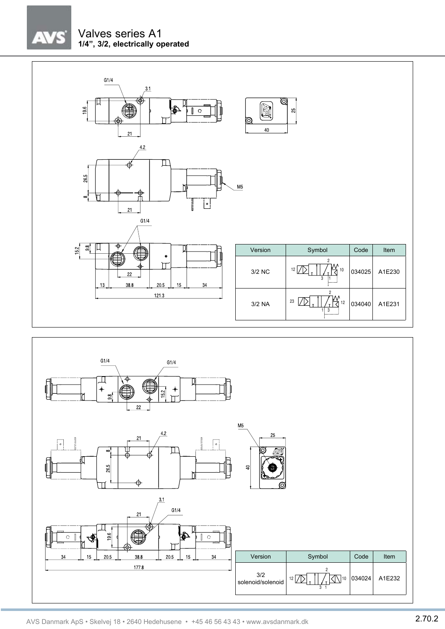# $\sqrt{2}$

### Valves series A1 **1/4", 3/2, electrically operated**